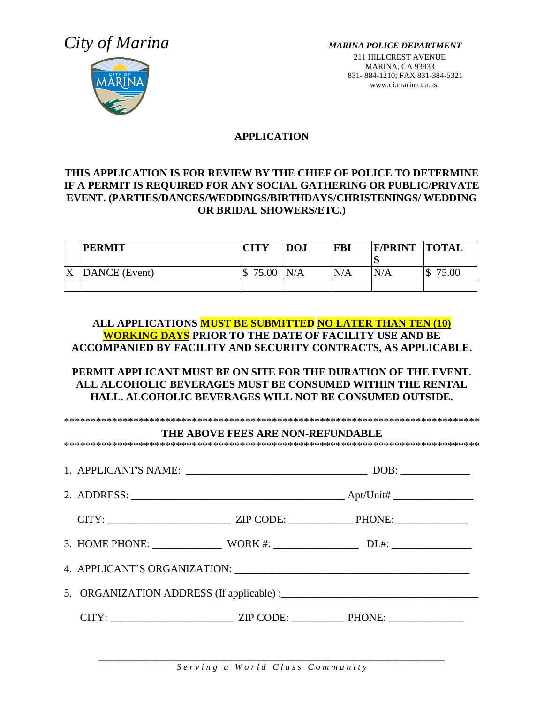# *City of Marina MARINA POLICE DEPARTMENT*



211 HILLCREST AVENUE MARINA, CA 93933 831- 884-1210; FAX 831-384-5321 www.ci.marina.ca.us

# **APPLICATION**

# **THIS APPLICATION IS FOR REVIEW BY THE CHIEF OF POLICE TO DETERMINE IF A PERMIT IS REQUIRED FOR ANY SOCIAL GATHERING OR PUBLIC/PRIVATE EVENT. (PARTIES/DANCES/WEDDINGS/BIRTHDAYS/CHRISTENINGS/ WEDDING OR BRIDAL SHOWERS/ETC.)**

|   | <b>PERMIT</b> | <b>CITY</b> | <b>DOJ</b> | <b>FBI</b> | <b>F/PRINT</b> | <b>TOTAL</b>      |
|---|---------------|-------------|------------|------------|----------------|-------------------|
|   |               |             |            |            | $\mathbf{D}$   |                   |
| Δ | DANCE (Event) | 75.00<br>κD | N/A        | N/A        | N/A            | 75.00<br>Φ<br>-JD |
|   |               |             |            |            |                |                   |

**ALL APPLICATIONS MUST BE SUBMITTED NO LATER THAN TEN (10) WORKING DAYS PRIOR TO THE DATE OF FACILITY USE AND BE ACCOMPANIED BY FACILITY AND SECURITY CONTRACTS, AS APPLICABLE.** 

### **PERMIT APPLICANT MUST BE ON SITE FOR THE DURATION OF THE EVENT. ALL ALCOHOLIC BEVERAGES MUST BE CONSUMED WITHIN THE RENTAL HALL. ALCOHOLIC BEVERAGES WILL NOT BE CONSUMED OUTSIDE.**

|  | THE ABOVE FEES ARE NON-REFUNDABLE |  |
|--|-----------------------------------|--|
|  |                                   |  |
|  |                                   |  |
|  |                                   |  |
|  |                                   |  |
|  |                                   |  |
|  |                                   |  |
|  |                                   |  |

*\_\_\_\_\_\_\_\_\_\_\_\_\_\_\_\_\_\_\_\_\_\_\_\_\_\_\_\_\_\_\_\_\_\_\_\_\_\_\_\_\_\_\_\_\_\_\_\_\_\_\_\_\_\_\_\_\_\_\_\_\_\_\_\_\_\_\_\_\_\_\_\_\_\_\_\_\_\_*  $S$  e r v i n g a W o r l d Cl a s s C o m m u n i t y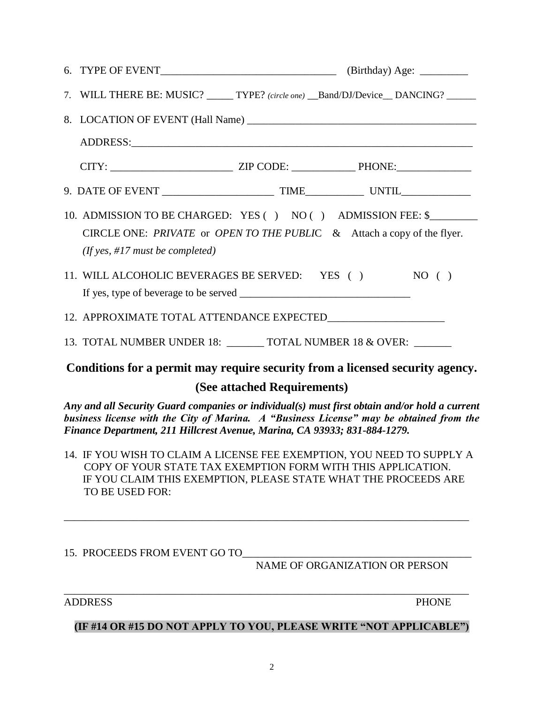| 7. WILL THERE BE: MUSIC? _____ TYPE? (circle one) __Band/DJ/Device__DANCING? _____                                                                                              |  |
|---------------------------------------------------------------------------------------------------------------------------------------------------------------------------------|--|
|                                                                                                                                                                                 |  |
|                                                                                                                                                                                 |  |
|                                                                                                                                                                                 |  |
|                                                                                                                                                                                 |  |
| 10. ADMISSION TO BE CHARGED: YES () NO () ADMISSION FEE: \$<br>CIRCLE ONE: PRIVATE or OPEN TO THE PUBLIC $\&$ Attach a copy of the flyer.<br>(If yes, $\#17$ must be completed) |  |
| 11. WILL ALCOHOLIC BEVERAGES BE SERVED: YES () NO ()                                                                                                                            |  |
|                                                                                                                                                                                 |  |
| 13. TOTAL NUMBER UNDER 18: _______ TOTAL NUMBER 18 & OVER: ______                                                                                                               |  |
| Conditions for a permit may require security from a licensed security agency.                                                                                                   |  |

# **(See attached Requirements)**

*Any and all Security Guard companies or individual(s) must first obtain and/or hold a current business license with the City of Marina. A "Business License" may be obtained from the Finance Department, 211 Hillcrest Avenue, Marina, CA 93933; 831-884-1279.*

14. IF YOU WISH TO CLAIM A LICENSE FEE EXEMPTION, YOU NEED TO SUPPLY A COPY OF YOUR STATE TAX EXEMPTION FORM WITH THIS APPLICATION. IF YOU CLAIM THIS EXEMPTION, PLEASE STATE WHAT THE PROCEEDS ARE TO BE USED FOR:

\_\_\_\_\_\_\_\_\_\_\_\_\_\_\_\_\_\_\_\_\_\_\_\_\_\_\_\_\_\_\_\_\_\_\_\_\_\_\_\_\_\_\_\_\_\_\_\_\_\_\_\_\_\_\_\_\_\_\_\_\_\_\_\_\_\_\_\_\_\_\_\_\_\_\_\_

# 15. PROCEEDS FROM EVENT GO TO

NAME OF ORGANIZATION OR PERSON

ADDRESS PHONE

\_\_\_\_\_\_\_\_\_\_\_\_\_\_\_\_\_\_\_\_\_\_\_\_\_\_\_\_\_\_\_\_\_\_\_\_\_\_\_\_\_\_\_\_\_\_\_\_\_\_\_\_\_\_\_\_\_\_\_\_\_\_\_\_\_\_\_\_\_\_\_\_\_\_\_\_

### **(IF #14 OR #15 DO NOT APPLY TO YOU, PLEASE WRITE "NOT APPLICABLE")**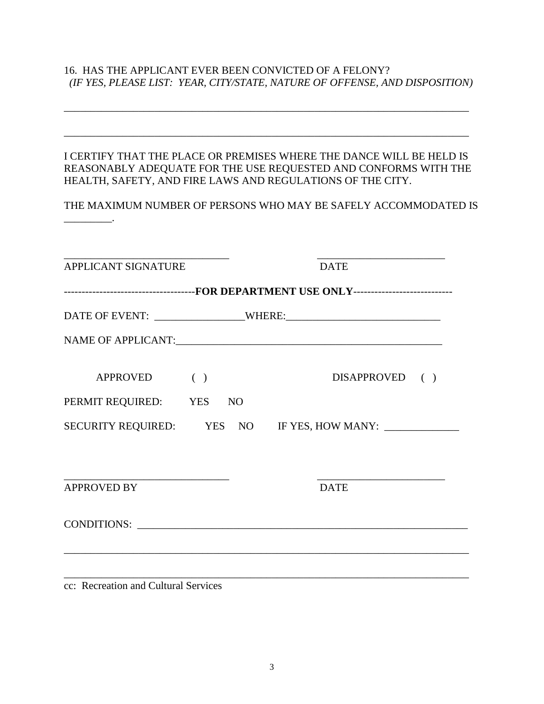# 16. HAS THE APPLICANT EVER BEEN CONVICTED OF A FELONY?  *(IF YES, PLEASE LIST: YEAR, CITY/STATE, NATURE OF OFFENSE, AND DISPOSITION)*

| REASONABLY ADEQUATE FOR THE USE REQUESTED AND CONFORMS WITH THE<br>HEALTH, SAFETY, AND FIRE LAWS AND REGULATIONS OF THE CITY. | I CERTIFY THAT THE PLACE OR PREMISES WHERE THE DANCE WILL BE HELD IS |
|-------------------------------------------------------------------------------------------------------------------------------|----------------------------------------------------------------------|
| THE MAXIMUM NUMBER OF PERSONS WHO MAY BE SAFELY ACCOMMODATED IS                                                               |                                                                      |
|                                                                                                                               |                                                                      |
| <b>APPLICANT SIGNATURE</b>                                                                                                    | <b>DATE</b>                                                          |
| ------------------------------------FOR DEPARTMENT USE ONLY---------------------------                                        |                                                                      |
|                                                                                                                               |                                                                      |
|                                                                                                                               |                                                                      |
| <b>APPROVED</b><br>( )                                                                                                        | DISAPPROVED ()                                                       |
| PERMIT REQUIRED: YES<br>N <sub>O</sub>                                                                                        |                                                                      |
| SECURITY REQUIRED: YES NO IF YES, HOW MANY:                                                                                   |                                                                      |
|                                                                                                                               |                                                                      |
| <b>APPROVED BY</b>                                                                                                            | <b>DATE</b>                                                          |
|                                                                                                                               |                                                                      |

cc: Recreation and Cultural Services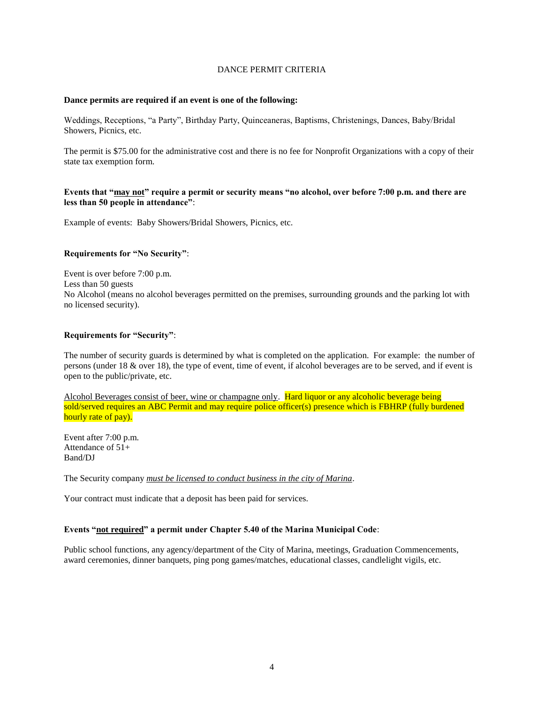#### DANCE PERMIT CRITERIA

#### **Dance permits are required if an event is one of the following:**

Weddings, Receptions, "a Party", Birthday Party, Quinceaneras, Baptisms, Christenings, Dances, Baby/Bridal Showers, Picnics, etc.

The permit is \$75.00 for the administrative cost and there is no fee for Nonprofit Organizations with a copy of their state tax exemption form.

#### **Events that "may not" require a permit or security means "no alcohol, over before 7:00 p.m. and there are less than 50 people in attendance"**:

Example of events: Baby Showers/Bridal Showers, Picnics, etc.

#### **Requirements for "No Security"**:

Event is over before 7:00 p.m. Less than 50 guests No Alcohol (means no alcohol beverages permitted on the premises, surrounding grounds and the parking lot with no licensed security).

#### **Requirements for "Security"**:

The number of security guards is determined by what is completed on the application. For example: the number of persons (under 18 & over 18), the type of event, time of event, if alcohol beverages are to be served, and if event is open to the public/private, etc.

Alcohol Beverages consist of beer, wine or champagne only. Hard liquor or any alcoholic beverage being sold/served requires an ABC Permit and may require police officer(s) presence which is FBHRP (fully burdened hourly rate of pay).

Event after 7:00 p.m. Attendance of 51+ Band/DJ

The Security company *must be licensed to conduct business in the city of Marina*.

Your contract must indicate that a deposit has been paid for services.

#### **Events "not required" a permit under Chapter 5.40 of the Marina Municipal Code**:

Public school functions, any agency/department of the City of Marina, meetings, Graduation Commencements, award ceremonies, dinner banquets, ping pong games/matches, educational classes, candlelight vigils, etc.